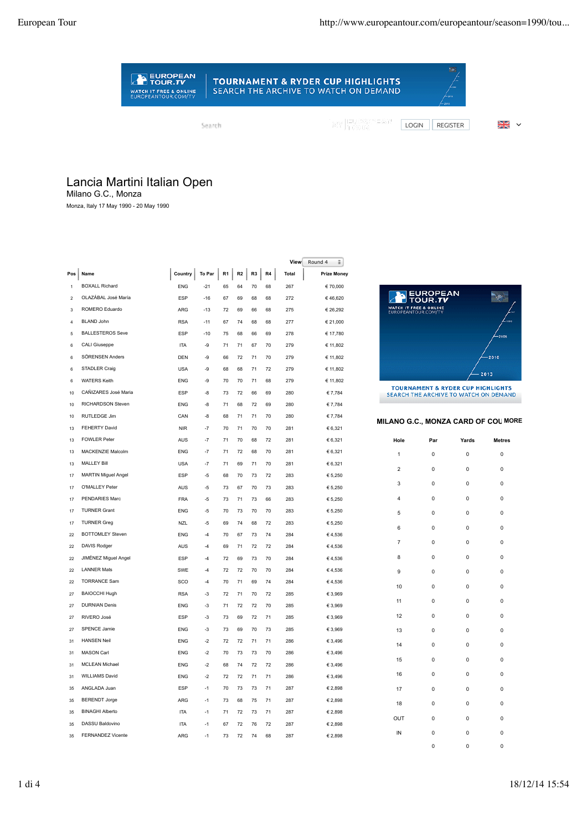

## **TOURNAMENT & RYDER CUP HIGHLIGHTS** SEARCH THE ARCHIVE TO WATCH ON DEMAND

Search

MY EUROPEAN<br>MY Frour

LOGIN REGISTER W

## Lancia Martini Italian Open

Milano G.C., Monza

Monza, Italy 17 May 1990 - 20 May 1990

|                |                            |            |        |                |    |    |    | View         | Round 4<br>÷       |                                               |                 |                                                                                  |                |
|----------------|----------------------------|------------|--------|----------------|----|----|----|--------------|--------------------|-----------------------------------------------|-----------------|----------------------------------------------------------------------------------|----------------|
| Pos            | Name                       | Country    | To Par | R <sub>1</sub> | R2 | R3 | R4 | <b>Total</b> | <b>Prize Money</b> |                                               |                 |                                                                                  |                |
| $\overline{1}$ | <b>BOXALL Richard</b>      | ENG        | $-21$  | 65             | 64 | 70 | 68 | 267          | € 70,000           |                                               |                 |                                                                                  |                |
| $\overline{z}$ | OLAZÁBAL José María        | ESP        | $-16$  | 67             | 69 | 68 | 68 | 272          | €46.620            |                                               | <b>EUROPEAN</b> |                                                                                  | $\blacksquare$ |
| 3              | ROMERO Eduardo             | ARG        | $-13$  | 72             | 69 | 66 | 68 | 275          | € 26,292           | WATCH IT FREE & ONLINE<br>EUROPEANTOUR.COM/TV |                 |                                                                                  |                |
| $\overline{4}$ | BI AND John                | <b>RSA</b> | $-11$  | 67             | 74 | 68 | 68 | 277          | € 21,000           |                                               |                 |                                                                                  |                |
| 5              | <b>BALLESTEROS Seve</b>    | ESP        | $-10$  | 75             | 68 | 66 | 69 | 278          | € 17,780           |                                               |                 |                                                                                  | -20            |
| 6              | CALI Giuseppe              | <b>ITA</b> | -9     | 71             | 71 | 67 | 70 | 279          | € 11,802           |                                               |                 |                                                                                  |                |
| 6              | SÖRENSEN Anders            | <b>DEN</b> | -9     | 66             | 72 | 71 | 70 | 279          | € 11,802           |                                               |                 |                                                                                  | $-2010$        |
| 6              | STADLER Craig              | <b>USA</b> | -9     | 68             | 68 | 71 | 72 | 279          | € 11,802           |                                               |                 |                                                                                  | 2013           |
| 6              | <b>WATERS Keith</b>        | <b>ENG</b> | -9     | 70             | 70 | 71 | 68 | 279          | € 11,802           |                                               |                 |                                                                                  |                |
| 10             | CAÑIZARES José Maria       | ESP        | -8     | 73             | 72 | 66 | 69 | 280          | € 7,784            |                                               |                 | <b>TOURNAMENT &amp; RYDER CUP HIGHLIGH</b><br>SEARCH THE ARCHIVE TO WATCH ON DEM |                |
| 10             | RICHARDSON Steven          | <b>ENG</b> | -8     | 71             | 68 | 72 | 69 | 280          | € 7,784            |                                               |                 |                                                                                  |                |
| 10             | RUTLEDGE Jim               | CAN        | -8     | 68             | 71 | 71 | 70 | 280          | € 7,784            |                                               |                 |                                                                                  |                |
| 13             | FEHERTY David              | <b>NIR</b> | $-7$   | 70             | 71 | 70 | 70 | 281          | € 6,321            | MILANO G.C., MONZA CARD OF COU                |                 |                                                                                  |                |
| 13             | FOWI FR Peter              | AUS        | $-7$   | 71             | 70 | 68 | 72 | 281          | € 6,321            | Hole                                          | Par             | Yards                                                                            | Met            |
| 13             | MACKENZIE Malcolm          | ENG        | $-7$   | 71             | 72 | 68 | 70 | 281          | € 6,321            | $\mathbf{1}$                                  | 0               | 0                                                                                | $\mathbf{C}$   |
| 13             | <b>MALLEY Bill</b>         | <b>USA</b> | $-7$   | 71             | 69 | 71 | 70 | 281          | € 6,321            |                                               |                 |                                                                                  |                |
| 17             | <b>MARTIN Miguel Angel</b> | <b>ESP</b> | -5     | 68             | 70 | 73 | 72 | 283          | € 5,250            | $\overline{2}$                                | 0               | 0                                                                                |                |
| 17             | O'MALLEY Peter             | <b>AUS</b> | -5     | 73             | 67 | 70 | 73 | 283          | € 5,250            | 3                                             | 0               | 0                                                                                |                |
| 17             | PENDARIES Marc             | <b>FRA</b> | -5     | 73             | 71 | 73 | 66 | 283          | € 5,250            | 4                                             | 0               | 0                                                                                |                |
| 17             | <b>TURNER Grant</b>        | <b>ENG</b> | $-5$   | 70             | 73 | 70 | 70 | 283          | € 5,250            | 5                                             | 0               | $\mathbf 0$                                                                      |                |
| 17             | <b>TURNER Greg</b>         | <b>NZL</b> | $-5$   | 69             | 74 | 68 | 72 | 283          | € 5,250            |                                               |                 |                                                                                  |                |
| 22             | <b>BOTTOMLEY Steven</b>    | <b>ENG</b> | $-4$   | 70             | 67 | 73 | 74 | 284          | €4,536             | 6                                             | $\pmb{0}$       | $\mathbf 0$                                                                      |                |
| 22             | DAVIS Rodger               | AUS        | $-4$   | 69             | 71 | 72 | 72 | 284          | €4,536             | $\overline{7}$                                | 0               | $\mathbf 0$                                                                      |                |
| 22             | JIMÉNEZ Miguel Angel       | ESP        | $-4$   | 72             | 69 | 73 | 70 | 284          | €4,536             | 8                                             | 0               | $\mathbf 0$                                                                      |                |
| 22             | <b>LANNER Mats</b>         | SWE        | $-4$   | 72             | 72 | 70 | 70 | 284          | €4,536             | 9                                             | 0               | $\mathbf 0$                                                                      |                |
| 22             | <b>TORRANCE Sam</b>        | SCO        | $-4$   | 70             | 71 | 69 | 74 | 284          | €4,536             | 10                                            | 0               | 0                                                                                |                |
| 27             | <b>BAIOCCHI Hugh</b>       | <b>RSA</b> | -3     | 72             | 71 | 70 | 72 | 285          | € 3,969            |                                               |                 |                                                                                  |                |
| 27             | <b>DURNIAN Denis</b>       | ENG        | $-3$   | 71             | 72 | 72 | 70 | 285          | € 3,969            | 11                                            | 0               | 0                                                                                |                |
| 27             | RIVERO José                | ESP        | $-3$   | 73             | 69 | 72 | 71 | 285          | € 3,969            | 12                                            | 0               | 0                                                                                |                |
| 27             | SPENCE Jamie               | <b>ENG</b> | $-3$   | 73             | 69 | 70 | 73 | 285          | € 3,969            | 13                                            | 0               | 0                                                                                |                |
| 31             | <b>HANSEN Neil</b>         | <b>ENG</b> | $-2$   | 72             | 72 | 71 | 71 | 286          | € 3,496            | 14                                            | 0               | 0                                                                                |                |
| 31             | <b>MASON Carl</b>          | ENG        | $-2$   | 70             | 73 | 73 | 70 | 286          | € 3,496            |                                               |                 |                                                                                  |                |
| 31             | MCLEAN Michael             | ENG        | $-2$   | 68             | 74 | 72 | 72 | 286          | € 3,496            | 15                                            | 0               | 0                                                                                |                |
| 31             | <b>WILLIAMS David</b>      | <b>ENG</b> | $-2$   | 72             | 72 | 71 | 71 | 286          | € 3,496            | 16                                            | 0               | 0                                                                                |                |
| 35             | ANGLADA Juan               | <b>ESP</b> | $-1$   | 70             | 73 | 73 | 71 | 287          | € 2,898            | 17                                            | 0               | 0                                                                                |                |
| 35             | <b>BERENDT Jorge</b>       | ARG        | $-1$   | 73             | 68 | 75 | 71 | 287          | € 2,898            | 18                                            | 0               | 0                                                                                |                |
| 35             | <b>BINAGHI Alberto</b>     | <b>ITA</b> | $-1$   | 71             | 72 | 73 | 71 | 287          | € 2,898            |                                               |                 |                                                                                  |                |
| 35             | DASSU Baldovino            | <b>ITA</b> | $-1$   | 67             | 72 | 76 | 72 | 287          | € 2,898            | OUT                                           | 0               | 0                                                                                |                |
| 35             | FERNANDEZ Vicente          | ARG        | $-1$   | 73             | 72 | 74 | 68 | 287          | € 2,898            | IN                                            | 0               | 0                                                                                |                |
|                |                            |            |        |                |    |    |    |              |                    |                                               | $\sqrt{2}$      | $\sqrt{2}$                                                                       |                |



HE ARCHIVE TO WATCH ON DEMAND

## **MILANO G.C., MONZA CARD OF COURSE MORE**

**Hole Par Yards Metres**

0 0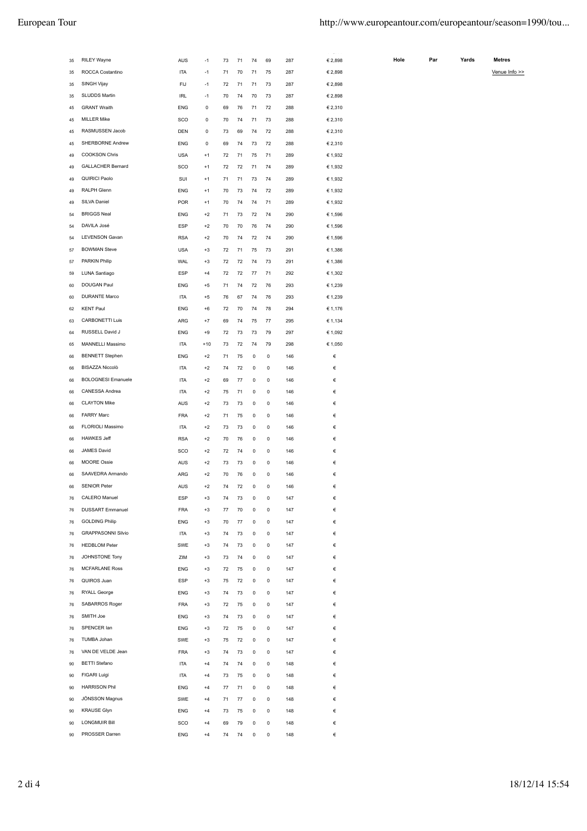| 35 | RILEY Wayne                                | سابت<br>AUS | $-1$  | $\ddot{\phantom{1}}$<br>73 | ٠.<br>71 | $\sim$ $-$<br>74 | $\ddot{\phantom{1}}$<br>69 | ---<br>287 | $- - - - - - -$<br>€ 2,898 | Hol |
|----|--------------------------------------------|-------------|-------|----------------------------|----------|------------------|----------------------------|------------|----------------------------|-----|
| 35 | ROCCA Costantino                           | <b>ITA</b>  | $-1$  | 71                         | 70       | 71               | 75                         | 287        | € 2,898                    |     |
| 35 | SINGH Vijay                                | FIJ         | $-1$  | 72                         | 71       | 71               | 73                         | 287        | € 2,898                    |     |
| 35 | SLUDDS Martin                              | IRL         | $-1$  | 70                         | 74       | 70               | 73                         | 287        | € 2,898                    |     |
| 45 | <b>GRANT Wraith</b>                        | ENG         | 0     | 69                         | 76       | 71               | 72                         | 288        | € 2,310                    |     |
| 45 | <b>MILLER Mike</b>                         | <b>SCO</b>  | 0     | 70                         | 74       | 71               | 73                         | 288        | € 2,310                    |     |
| 45 | RASMUSSEN Jacob                            | DEN         | 0     | 73                         | 69       | 74               | 72                         | 288        | € 2,310                    |     |
| 45 | SHERBORNE Andrew                           | <b>ENG</b>  | 0     | 69                         | 74       | 73               | 72                         | 288        | € 2,310                    |     |
| 49 | <b>COOKSON Chris</b>                       | <b>USA</b>  | $+1$  | 72                         | 71       | 75               | 71                         | 289        | € 1,932                    |     |
| 49 | <b>GALLACHER Bernard</b>                   | SCO         | $+1$  | 72                         | 72       | 71               | 74                         | 289        | € 1,932                    |     |
| 49 | QUIRICI Paolo                              | SUI         | $+1$  | 71                         | 71       | 73               | 74                         | 289        | € 1,932                    |     |
| 49 | RALPH Glenn                                | ENG         | $+1$  | 70                         | 73       | 74               | 72                         | 289        | € 1,932                    |     |
| 49 | SILVA Daniel                               | <b>POR</b>  | $+1$  | 70                         | 74       | 74               | 71                         | 289        | € 1,932                    |     |
| 54 | <b>BRIGGS Neal</b>                         | ENG         | $+2$  | 71                         | 73       | 72               | 74                         | 290        | € 1,596                    |     |
| 54 | DAVILA José                                | ESP         | $+2$  | 70                         | 70       | 76               | 74                         | 290        | € 1,596                    |     |
| 54 | <b>LEVENSON Gavan</b>                      | <b>RSA</b>  | $+2$  | 70                         | 74       | 72               | 74                         | 290        | € 1,596                    |     |
| 57 | <b>BOWMAN Steve</b>                        | <b>USA</b>  | $+3$  | 72                         | 71       | 75               | 73                         | 291        | € 1,386                    |     |
| 57 | PARKIN Philip                              | WAL         | $+3$  | 72                         | 72       | 74               | 73                         | 291        | € 1,386                    |     |
| 59 | LUNA Santiago                              | <b>ESP</b>  | $+4$  | 72                         | 72       | 77               | 71                         | 292        | € 1,302                    |     |
|    | DOUGAN Paul                                |             |       | 71                         | 74       |                  | 76                         |            |                            |     |
| 60 | <b>DURANTE Marco</b>                       | <b>ENG</b>  | $+5$  |                            |          | 72               |                            | 293        | € 1,239                    |     |
| 60 |                                            | <b>ITA</b>  | $+5$  | 76                         | 67       | 74               | 76                         | 293        | € 1,239                    |     |
| 62 | <b>KENT Paul</b><br><b>CARBONETTI Luis</b> | ENG         | $+6$  | 72                         | 70       | 74               | 78                         | 294        | € 1,176                    |     |
| 63 |                                            | ARG         | $+7$  | 69                         | 74       | 75               | 77                         | 295        | € 1,134                    |     |
| 64 | RUSSELL David J                            | ENG         | $+9$  | 72                         | 73       | 73               | 79                         | 297        | € 1,092                    |     |
| 65 | MANNELLI Massimo                           | <b>ITA</b>  | $+10$ | 73                         | 72       | 74               | 79                         | 298        | € 1,050                    |     |
| 66 | <b>BENNETT Stephen</b>                     | <b>ENG</b>  | $+2$  | 71                         | 75       | 0                | 0                          | 146        | €                          |     |
| 66 | BISAZZA Niccolò                            | <b>ITA</b>  | $+2$  | 74                         | 72       | 0                | 0                          | 146        | €                          |     |
| 66 | <b>BOLOGNESI Emanuele</b>                  | <b>ITA</b>  | $+2$  | 69                         | 77       | 0                | 0                          | 146        | €                          |     |
| 66 | CANESSA Andrea                             | <b>ITA</b>  | $+2$  | 75                         | 71       | 0                | 0                          | 146        | €                          |     |
| 66 | <b>CLAYTON Mike</b>                        | AUS         | $+2$  | 73                         | 73       | 0                | 0                          | 146        | €                          |     |
| 66 | <b>FARRY Marc</b>                          | <b>FRA</b>  | $+2$  | 71                         | 75       | 0                | 0                          | 146        | €                          |     |
| 66 | FLORIOLI Massimo                           | <b>ITA</b>  | $+2$  | 73                         | 73       | 0                | 0                          | 146        | €                          |     |
| 66 | <b>HAWKES Jeff</b>                         | <b>RSA</b>  | $+2$  | 70                         | 76       | 0                | 0                          | 146        | €                          |     |
| 66 | JAMES David                                | SCO         | $+2$  | 72                         | 74       | 0                | 0                          | 146        | €                          |     |
| 66 | <b>MOORE Ossie</b>                         | AUS         | $+2$  | 73                         | 73       | 0                | 0                          | 146        | €                          |     |
| 66 | SAAVEDRA Armando                           | ARG         | $+2$  | 70                         | 76       | 0                | 0                          | 146        | €                          |     |
| 66 | <b>SENIOR Peter</b>                        | AUS         | $+2$  | 74                         | 72       | $\pmb{0}$        | 0                          | 146        | €                          |     |
| 76 | CALERO Manuel                              | <b>ESP</b>  | $+3$  | 74                         | 73       | 0                | 0                          | 147        | €                          |     |
| 76 | DUSSART Emmanuel                           | <b>FRA</b>  | $+3$  | 77                         | 70       | 0                | 0                          | 147        | €                          |     |
| 76 | <b>GOLDING Philip</b>                      | ENG         | $+3$  | 70                         | 77       | $\pmb{0}$        | 0                          | 147        | €                          |     |
| 76 | <b>GRAPPASONNI Silvio</b>                  | <b>ITA</b>  | $+3$  | 74                         | 73       | $\pmb{0}$        | 0                          | 147        | €                          |     |
| 76 | <b>HEDBLOM Peter</b>                       | SWE         | $+3$  | 74                         | 73       | $\pmb{0}$        | 0                          | 147        | €                          |     |
| 76 | JOHNSTONE Tony                             | ZIM         | $+3$  | 73                         | 74       | $\pmb{0}$        | 0                          | 147        | €                          |     |
| 76 | <b>MCFARLANE Ross</b>                      | ENG         | $+3$  | 72                         | 75       | $\pmb{0}$        | 0                          | 147        | €                          |     |
| 76 | QUIROS Juan                                | ESP         | $+3$  | 75                         | 72       | $\pmb{0}$        | 0                          | 147        | €                          |     |
| 76 | RYALL George                               | ENG         | $+3$  | 74                         | 73       | $\pmb{0}$        | 0                          | 147        | €                          |     |
| 76 | SABARROS Roger                             | <b>FRA</b>  | $+3$  | 72                         | 75       | $\pmb{0}$        | 0                          | 147        | €                          |     |
| 76 | SMITH Joe                                  | ENG         | $+3$  | 74                         | 73       | $\pmb{0}$        | 0                          | 147        | €                          |     |
| 76 | SPENCER lan                                | ENG         | $+3$  | 72                         | 75       | $\pmb{0}$        | 0                          | 147        | €                          |     |
| 76 | TUMBA Johan                                | SWE         | $+3$  | 75                         | 72       | $\pmb{0}$        | 0                          | 147        | €                          |     |
| 76 | VAN DE VELDE Jean                          | <b>FRA</b>  | $+3$  | 74                         | 73       | $\pmb{0}$        | 0                          | 147        | €                          |     |
| 90 | <b>BETTI Stefano</b>                       | <b>ITA</b>  | $+4$  | 74                         | 74       | $\pmb{0}$        | 0                          | 148        | €                          |     |
| 90 | FIGARI Luigi                               | <b>ITA</b>  | $+4$  | 73                         | 75       | $\pmb{0}$        | 0                          | 148        | €                          |     |
| 90 | <b>HARRISON Phil</b>                       | ENG         | $+4$  | 77                         | 71       | $\pmb{0}$        | 0                          | 148        | €                          |     |
| 90 | JÖNSSON Magnus                             | SWE         | $+4$  | 71                         | 77       | $\pmb{0}$        | 0                          | 148        | €                          |     |
| 90 | <b>KRAUSE Glyn</b>                         | ENG         | $+4$  | 73                         | 75       | $\pmb{0}$        | 0                          | 148        | €                          |     |
| 90 | <b>LONGMUIR Bill</b>                       | SCO         | $+4$  | 69                         | 79       | $\pmb{0}$        | 0                          | 148        | €                          |     |
| 90 | PROSSER Darren                             | ENG         | $+4$  | 74                         | 74       | $\mathsf 0$      | 0                          | 148        | €                          |     |

| ole | Par | Yards |
|-----|-----|-------|
|     |     |       |

Venue Info >> **Hole Par Yards Metres**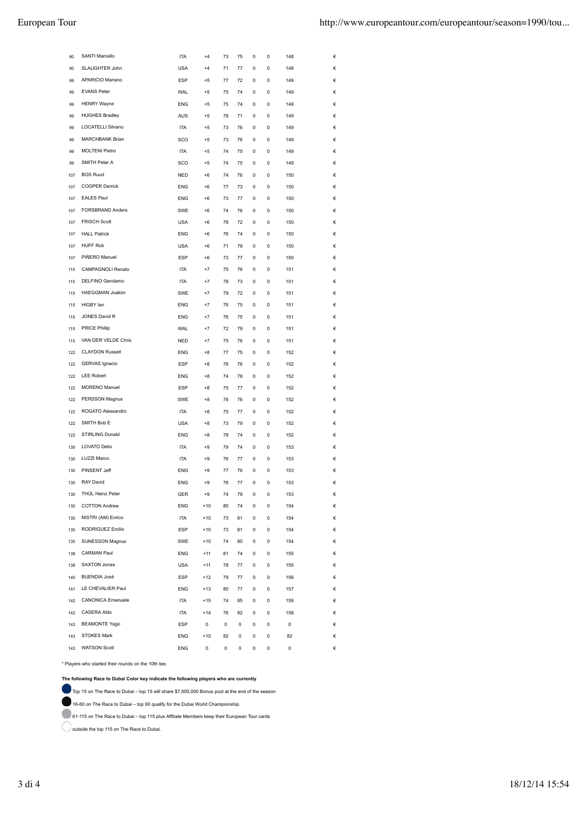| 90  | SANTI Marcello           | ITA        | $+4$  | 73 | 75 | $\ddot{\mathbf{0}}$ | $\ddot{\mathbf{0}}$ | 148 |   |
|-----|--------------------------|------------|-------|----|----|---------------------|---------------------|-----|---|
| 90  | SLAUGHTER John           | <b>USA</b> | $+4$  | 71 | 77 | 0                   | 0                   | 148 |   |
| 99  | APARICIO Mariano         | <b>ESP</b> | $+5$  | 77 | 72 | 0                   | 0                   | 149 | € |
| 99  | <b>EVANS Peter</b>       | WAL        | $+5$  | 75 | 74 | 0                   | 0                   | 149 | € |
| 99  | <b>HENRY Wayne</b>       | ENG        | $+5$  | 75 | 74 | 0                   | 0                   | 149 | € |
| 99  | <b>HUGHES Bradley</b>    | <b>AUS</b> | $+5$  | 78 | 71 | 0                   | 0                   | 149 | € |
| 99  | LOCATELLI Silvano        | <b>ITA</b> | $+5$  | 73 | 76 | 0                   | 0                   | 149 | € |
| 99  | MARCHBANK Brian          | SCO        | $+5$  | 73 | 76 | 0                   | 0                   | 149 | € |
| 99  | <b>MOLTENI Pietro</b>    | <b>ITA</b> | $+5$  | 74 | 75 | 0                   | 0                   | 149 | € |
| 99  | SMITH Peter A            | SCO        | $+5$  | 74 | 75 | 0                   | 0                   | 149 | € |
| 107 | <b>BOS Ruud</b>          | <b>NED</b> | $+6$  | 74 | 76 | 0                   | 0                   | 150 | € |
| 107 | <b>COOPER Derrick</b>    | ENG        | $+6$  | 77 | 73 | 0                   | 0                   | 150 | € |
| 107 | <b>EALES Paul</b>        | ENG        | $+6$  | 73 | 77 | 0                   | 0                   | 150 | € |
| 107 | FORSBRAND Anders         | <b>SWE</b> | $+6$  | 74 | 76 | 0                   | 0                   | 150 | € |
| 107 | <b>FRISCH Scott</b>      | <b>USA</b> | $+6$  | 78 | 72 | 0                   | 0                   | 150 | € |
| 107 | <b>HALL Patrick</b>      | ENG        | $+6$  | 76 | 74 | 0                   | 0                   | 150 | € |
| 107 | <b>HUFF Rob</b>          | <b>USA</b> | $+6$  | 71 | 79 | 0                   | 0                   | 150 | € |
| 107 | PIÑERO Manuel            | ESP        | $+6$  | 73 | 77 | 0                   | 0                   | 150 | € |
| 115 | CAMPAGNOLI Renato        | <b>ITA</b> | $+7$  | 75 | 76 | 0                   | 0                   | 151 | € |
| 115 | DELFINO Gerolamo         | <b>ITA</b> | $+7$  | 78 | 73 | 0                   | 0                   | 151 | € |
| 115 | <b>HAEGGMAN Joakim</b>   | <b>SWE</b> | $+7$  | 79 | 72 | 0                   | 0                   | 151 | € |
| 115 | HIGBY lan                | <b>ENG</b> | $+7$  | 76 | 75 | 0                   | 0                   | 151 | € |
| 115 | JONES David R            | <b>ENG</b> | $+7$  | 76 | 75 | 0                   | 0                   | 151 | € |
| 115 | <b>PRICE Phillip</b>     | <b>WAL</b> | $+7$  | 72 | 79 | 0                   | 0                   | 151 | € |
| 115 | VAN DER VELDE Chris      | <b>NED</b> | $+7$  | 75 | 76 | 0                   | 0                   | 151 | € |
| 122 | <b>CLAYDON Russell</b>   | ENG        | $+8$  | 77 | 75 | 0                   | 0                   | 152 | € |
| 122 | GERVAS Ignacio           | <b>ESP</b> | $+8$  | 76 | 76 | 0                   | 0                   | 152 | € |
| 122 | <b>LEE Robert</b>        | ENG        | $+8$  | 74 | 78 | 0                   | 0                   | 152 | € |
| 122 | MORENO Manuel            | <b>ESP</b> | $+8$  | 75 | 77 | 0                   | 0                   | 152 | € |
| 122 | PERSSON Magnus           | SWE        | $+8$  | 76 | 76 | 0                   | 0                   | 152 | € |
| 122 | ROGATO Alessandro        | <b>ITA</b> | $+8$  | 75 | 77 | 0                   | 0                   | 152 | € |
| 122 | SMITH Bob E              | <b>USA</b> | $+8$  | 73 | 79 | 0                   | 0                   | 152 | € |
| 122 | STIRLING Donald          | <b>ENG</b> | $+8$  | 78 | 74 | 0                   | 0                   | 152 | € |
| 130 | <b>LOVATO Delio</b>      | <b>ITA</b> | $+9$  | 79 | 74 | 0                   | 0                   | 153 | € |
| 130 | LUZZI Marco              | <b>ITA</b> | $+9$  | 76 | 77 | 0                   | 0                   | 153 | € |
| 130 | PINSENT Jeff             | <b>ENG</b> | $+9$  | 77 | 76 | 0                   | 0                   | 153 | € |
| 130 | <b>RAY David</b>         | <b>ENG</b> | $+9$  | 76 | 77 | 0                   | 0                   | 153 | € |
| 130 | THÜL Heinz Peter         | GER        | $+9$  | 74 | 79 | 0                   | 0                   | 153 |   |
| 135 | <b>COTTON Andrew</b>     | <b>ENG</b> | $+10$ | 80 | 74 | 0                   | 0                   | 154 | € |
| 135 | NISTRI (AM) Enrico       | <b>ITA</b> | $+10$ | 73 | 81 | 0                   | 0                   | 154 | € |
| 135 | RODRIGUEZ Emilio         | ESP        | $+10$ | 73 | 81 | 0                   | 0                   | 154 | € |
| 135 | SUNESSON Magnus          | SWE        | $+10$ | 74 | 80 | 0                   | 0                   | 154 | € |
| 138 | CARMAN Paul              | <b>ENG</b> | $+11$ | 81 | 74 | 0                   | 0                   | 155 | € |
| 138 | SAXTON Jonas             | <b>USA</b> | $+11$ | 78 | 77 | 0                   | 0                   | 155 | € |
| 140 | <b>BUENDIA José</b>      | ESP        | $+12$ | 79 | 77 | 0                   | 0                   | 156 | € |
| 141 | LE CHEVALIER Paul        | ENG        | $+13$ | 80 | 77 | 0                   | 0                   | 157 | € |
| 142 | <b>CANONICA Emanuele</b> | ITA        | $+15$ | 74 | 85 | 0                   | 0                   | 159 | € |
| 142 | CASERA Aldo              | ITA        | $+14$ | 76 | 82 | 0                   | 0                   | 158 | € |
| 143 | <b>BEAMONTE Yago</b>     | ESP        | 0     | 0  | 0  | 0                   | 0                   | 0   | € |
| 143 | STOKES Mark              | ENG        | $+10$ | 82 | 0  | 0                   | 0                   | 82  | € |
| 143 | <b>WATSON Scott</b>      | <b>ENG</b> | 0     | 0  | 0  | 0                   | 0                   | 0   | € |

\* Players who started their rounds on the 10th tee.

**The following Race to Dubai Color key indicate the following players who are currently**

Top 15 on The Race to Dubai – top 15 will share \$7,500,000 Bonus pool at the end of the season

16-60 on The Race to Dubai – top 60 qualify for the Dubai World Championship.

61-115 on The Race to Dubai – top 115 plus Affiliate Members keep their European Tour cards

O outside the top 115 on The Race to Dubai.